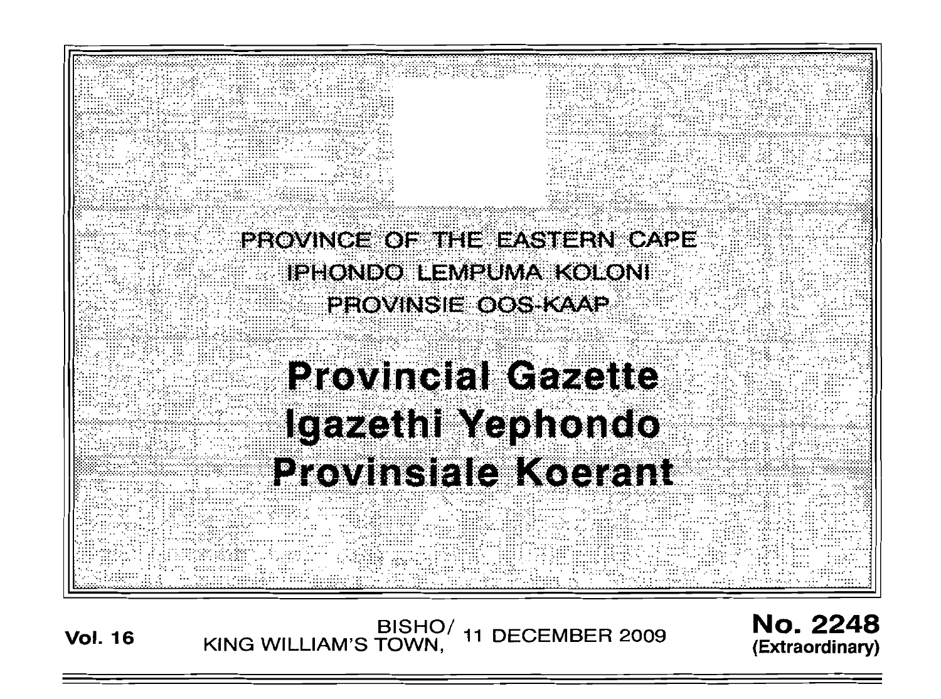

**Vol. <sup>16</sup>** BISHO/ KING WILLIAM'S TOWN, <sup>11</sup> DECEMBER <sup>2009</sup>

No. 2248 **(Extraordinary)**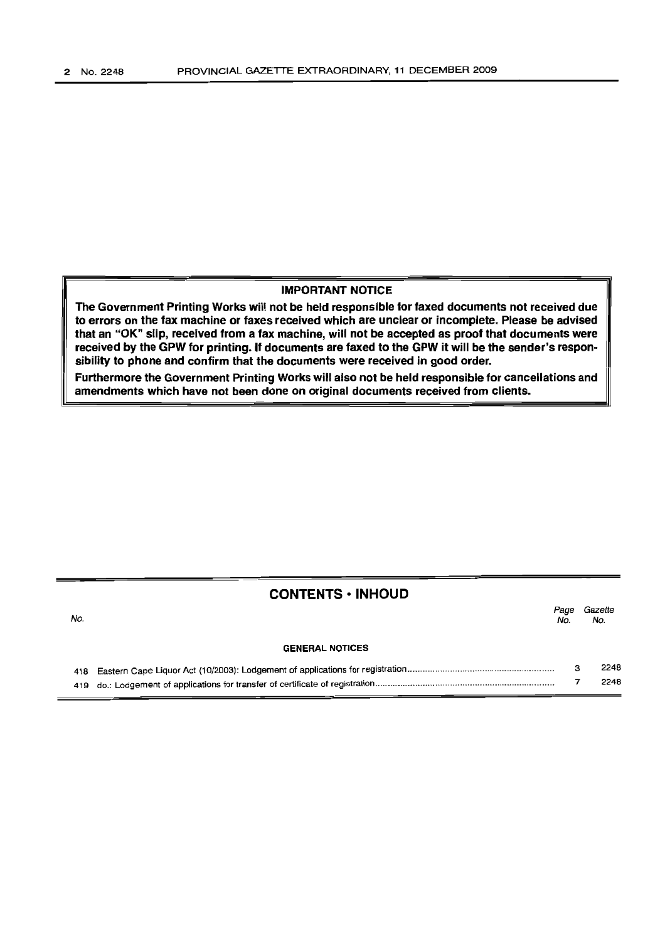No.

## IMPORTANT NOTICE

The Government Printing Works will not be held responsible for faxed documents not received due to errors on the fax machine or faxes received which are unclear or incomplete. Please be advised that an "OK" slip, received from a fax machine, will not be accepted as proof that documents were received by the GPW for printing. If documents are faxed to the GPW it will be the sender's responsibility to phone and confirm that the documents were received in good order.

Furthermore the Government Printing Works will also not be held responsible for cancellations and amendments which have not been done on original documents received from clients.

# CONTENTS ·INHOUD

*Page Gazette* No. No.

#### GENERAL NOTICES

|  | -2248 |
|--|-------|
|  | 2248  |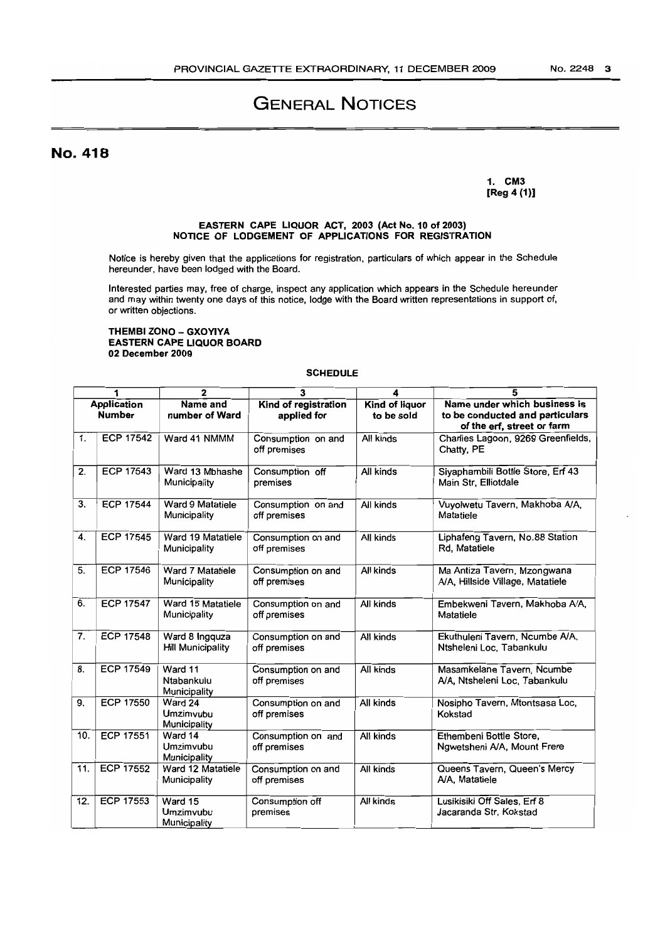# GENERAL NOTICES

No. 418

1. CM3 [Reg 4 (1)]

#### EASTERN CAPE LIQUOR ACT, 2003 (Act No. 10 of 2003) NOTICE OF LODGEMENT OF APPLICATIONS FOR REGISTRATION

Notice is hereby given that the applications for registration, particulars of which appear in the Schedule hereunder, have been lodged with the Board.

Interested parties may, free of charge, inspect any application which appears in the Schedule hereunder and may within twenty one days of this notice, lodge with the Board written representations in support of, or written objections.

#### THEMBI ZONO - GXOYIYA EASTERN CAPE LIQUOR BOARD 02 December 2009

#### **SCHEDULE**

| 1                                   |                  | $\mathbf{2}$                               | 3                                   | 4                            | 5                                                                                             |
|-------------------------------------|------------------|--------------------------------------------|-------------------------------------|------------------------------|-----------------------------------------------------------------------------------------------|
| <b>Application</b><br><b>Number</b> |                  | Name and<br>number of Ward                 | Kind of registration<br>applied for | Kind of liquor<br>to be sold | Name under which business is<br>to be conducted and particulars<br>of the erf, street or farm |
| 1.                                  | <b>ECP 17542</b> | Ward 41 NMMM                               | Consumption on and<br>off premises  | All kinds                    | Charlies Lagoon, 9269 Greenfields,<br>Chatty, PE                                              |
| 2.                                  | <b>ECP 17543</b> | Ward 13 Mbhashe<br>Municipality            | Consumption off<br>premises         | All kinds                    | Siyaphambili Bottle Store, Erf 43<br>Main Str, Elliotdale                                     |
| 3.                                  | <b>ECP 17544</b> | Ward 9 Matatiele<br>Municipality           | Consumption on and<br>off premises  | All kinds                    | Vuyolwetu Tavern, Makhoba A/A,<br>Matatiele                                                   |
| 4.                                  | <b>ECP 17545</b> | Ward 19 Matatiele<br>Municipality          | Consumption on and<br>off premises  | All kinds                    | Liphafeng Tavern, No.88 Station<br>Rd, Matatiele                                              |
| 5.                                  | <b>ECP 17546</b> | Ward 7 Matatiele<br>Municipality           | Consumption on and<br>off premises  | All kinds                    | Ma Antiza Tavern, Mzongwana<br>A/A, Hillside Village, Matatiele                               |
| 6.                                  | <b>ECP 17547</b> | Ward 15 Matatiele<br>Municipality          | Consumption on and<br>off premises  | All kinds                    | Embekweni Tavern, Makhoba A/A,<br>Matatiele                                                   |
| 7.                                  | <b>ECP 17548</b> | Ward 8 Ingquza<br><b>Hill Municipality</b> | Consumption on and<br>off premises  | All kinds                    | Ekuthuleni Tavern, Ncumbe A/A,<br>Ntsheleni Loc, Tabankulu                                    |
| 8.                                  | <b>ECP 17549</b> | Ward 11<br>Ntabankulu<br>Municipality      | Consumption on and<br>off premises  | All kinds                    | Masamkelane Tavern, Ncumbe<br>A/A, Ntsheleni Loc, Tabankulu                                   |
| 9.                                  | <b>ECP 17550</b> | Ward 24<br>Umzimvubu<br>Municipality       | Consumption on and<br>off premises  | All kinds                    | Nosipho Tavern, Mtontsasa Loc,<br>Kokstad                                                     |
| 10.                                 | <b>ECP 17551</b> | Ward 14<br>Umzimvubu<br>Municipality       | Consumption on and<br>off premises  | All kinds                    | Ethembeni Bottle Store,<br>Ngwetsheni A/A, Mount Frere                                        |
| 11.                                 | <b>ECP 17552</b> | Ward 12 Matatiele<br>Municipality          | Consumption on and<br>off premises  | All kinds                    | Queens Tavern, Queen's Mercy<br>A/A. Matatiele                                                |
| 12.                                 | <b>ECP 17553</b> | Ward 15<br>Umzimvubu<br>Municipality       | Consumption off<br>premises         | All kinds                    | Lusikisiki Off Sales, Erf 8<br>Jacaranda Str, Kokstad                                         |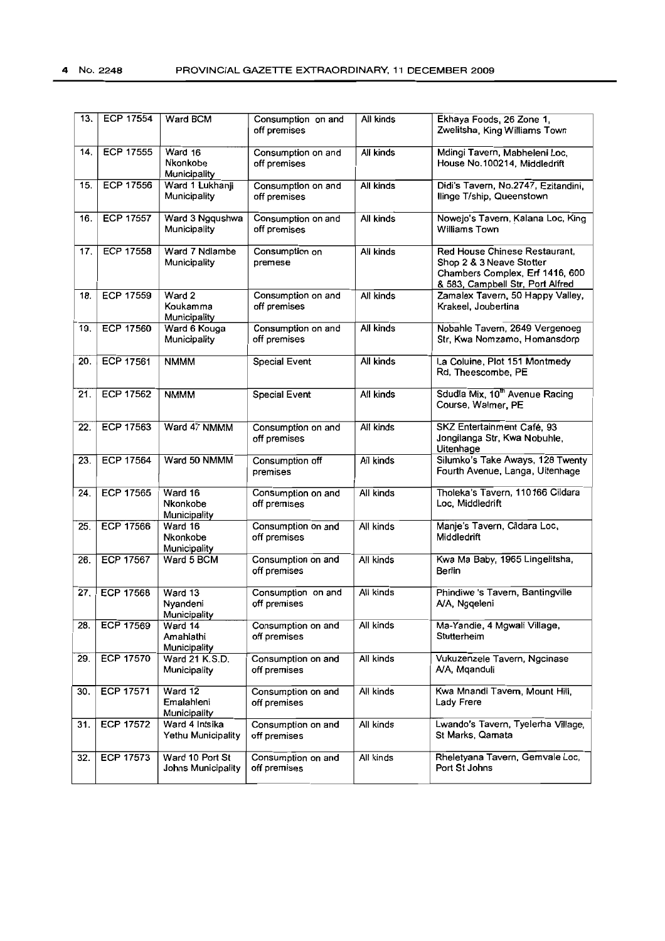| 13. | <b>ECP 17554</b> | Ward BCM                              | Consumption on and<br>off premises | All kinds | Ekhaya Foods, 26 Zone 1,<br>Zwelitsha, King Williams Town                                                                        |
|-----|------------------|---------------------------------------|------------------------------------|-----------|----------------------------------------------------------------------------------------------------------------------------------|
| 14. | <b>ECP 17555</b> | Ward 16<br>Nkonkobe<br>Municipality   | Consumption on and<br>off premises | All kinds | Mdingi Tavern, Mabheleni Loc,<br>House No.100214, Middledrift                                                                    |
| 15. | <b>ECP 17556</b> | Ward 1 Lukhanji<br>Municipality       | Consumption on and<br>off premises | All kinds | Didi's Tavern, No.2747, Ezitandini,<br>Ilinge T/ship, Queenstown                                                                 |
| 16. | <b>ECP 17557</b> | Ward 3 Ngqushwa<br>Municipality       | Consumption on and<br>off premises | All kinds | Nowejo's Tavern, Kalana Loc, King<br>Williams Town                                                                               |
| 17. | <b>ECP 17558</b> | Ward 7 Ndlambe<br>Municipality        | Consumption on<br>premese          | All kinds | Red House Chinese Restaurant,<br>Shop 2 & 3 Neave Stotter<br>Chambers Complex, Erf 1416, 600<br>& 583, Campbell Str, Port Alfred |
| 18. | ECP 17559        | Ward 2<br>Koukamma<br>Municipality    | Consumption on and<br>off premises | All kinds | Zamalex Tavern, 50 Happy Valley,<br>Krakeel, Joubertina                                                                          |
| 19. | <b>ECP 17560</b> | Ward 6 Kouga<br>Municipality          | Consumption on and<br>off premises | All kinds | Nobahle Tavern, 2649 Vergenoeg<br>Str, Kwa Nomzamo, Homansdorp                                                                   |
| 20. | <b>ECP 17561</b> | <b>NMMM</b>                           | Special Event                      | All kinds | La Coluine, Plot 151 Montmedy<br>Rd, Theescombe, PE                                                                              |
| 21. | <b>ECP 17562</b> | <b>NMMM</b>                           | <b>Special Event</b>               | All kinds | Sdudia Mix, 10 <sup>th</sup> Avenue Racing<br>Course, Walmer, PE                                                                 |
| 22. | <b>ECP 17563</b> | Ward 47 NMMM                          | Consumption on and<br>off premises | All kinds | SKZ Entertainment Café, 93<br>Jongilanga Str, Kwa Nobuhle,<br>Uitenhage                                                          |
| 23. | <b>ECP 17564</b> | Ward 50 NMMM                          | Consumption off<br>premises        | All kinds | Silumko's Take Aways, 128 Twenty<br>Fourth Avenue, Langa, Uitenhage                                                              |
| 24. | <b>ECP 17565</b> | Ward 16<br>Nkonkobe<br>Municipality   | Consumption on and<br>off premises | All kinds | Tholeka's Tavern, 110166 Cildara<br>Loc, Middledrift                                                                             |
| 25. | <b>ECP 17566</b> | Ward 16<br>Nkonkobe<br>Municipality   | Consumption on and<br>off premises | All kinds | Manje's Tavern, Cildara Loc,<br>Middledrift                                                                                      |
| 26. | <b>ECP 17567</b> | Ward 5 BCM                            | Consumption on and<br>off premises | All kinds | Kwa Ma Baby, 1965 Lingelitsha,<br>Berlin                                                                                         |
| 27. | <b>ECP 17568</b> | Ward 13<br>Nyandeni<br>Municipality   | Consumption on and<br>off premises | All kinds | Phindiwe 's Tavern, Bantingville<br>A/A, Ngqeleni                                                                                |
| 28. | <b>ECP 17569</b> | Ward 14<br>Amahlathi<br>Municipality  | Consumption on and<br>off premises | All kinds | Ma-Yandie, 4 Mgwali Village,<br>Stutterheim                                                                                      |
| 29. | <b>ECP 17570</b> | Ward 21 K.S.D.<br>Municipality        | Consumption on and<br>off premises | All kinds | Vukuzenzele Tavern, Ngcinase<br>A/A, Mganduli                                                                                    |
| 30. | <b>ECP 17571</b> | Ward 12<br>Emalahleni<br>Municipality | Consumption on and<br>off premises | All kinds | Kwa Mnandi Tavern, Mount Hili,<br>Lady Frere                                                                                     |
| 31. | <b>ECP 17572</b> | Ward 4 Intsika<br>Yethu Municipality  | Consumption on and<br>off premises | All kinds | Lwando's Tavern, Tyelerha Village,<br>St Marks, Qamata                                                                           |
| 32. | <b>ECP 17573</b> | Ward 10 Port St<br>Johns Municipality | Consumption on and<br>off premises | All kinds | Rheletyana Tavern, Gemvale Loc,<br>Port St Johns                                                                                 |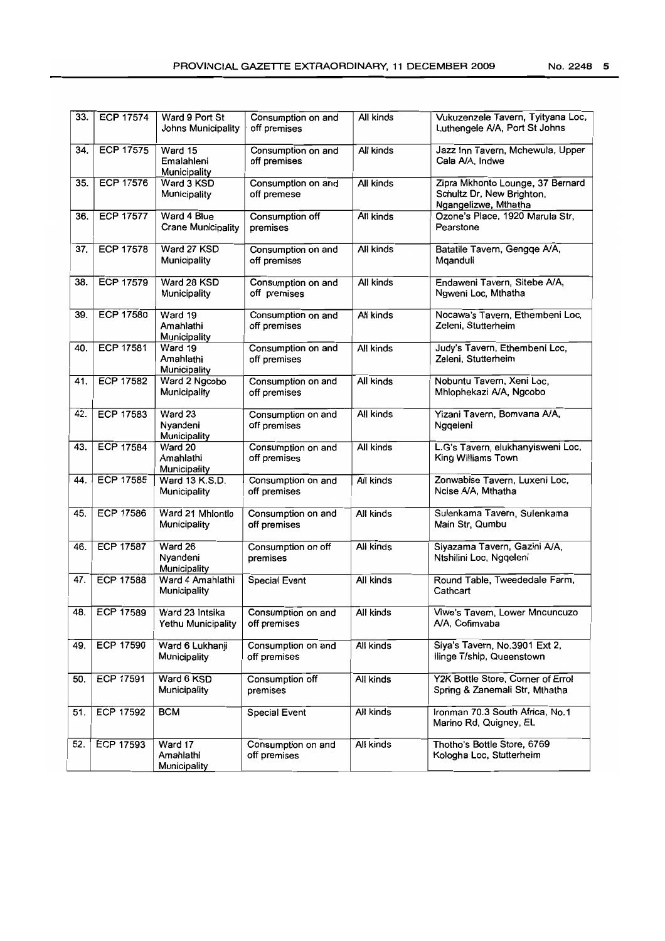| 33. | <b>ECP 17574</b> | Ward 9 Port St<br><b>Johns Municipality</b> | Consumption on and<br>off premises | All kinds | Vukuzenzele Tavern, Tyityana Loc,<br>Luthengele A/A, Port St Johns                    |
|-----|------------------|---------------------------------------------|------------------------------------|-----------|---------------------------------------------------------------------------------------|
| 34. | <b>ECP 17575</b> | Ward 15<br>Emalahleni<br>Municipality       | Consumption on and<br>off premises | All kinds | Jazz Inn Tavern, Mchewula, Upper<br>Cala A/A, Indwe                                   |
| 35. | <b>ECP 17576</b> | Ward 3 KSD<br>Municipality                  | Consumption on and<br>off premese  | All kinds | Zipra Mkhonto Lounge, 37 Bernard<br>Schultz Dr, New Brighton,<br>Ngangelizwe, Mthatha |
| 36. | <b>ECP 17577</b> | Ward 4 Blue<br><b>Crane Municipality</b>    | Consumption off<br>premises        | All kinds | Ozone's Place, 1920 Marula Str,<br>Pearstone                                          |
| 37. | <b>ECP 17578</b> | Ward 27 KSD<br>Municipality                 | Consumption on and<br>off premises | All kinds | Batatile Tavern, Gengqe A/A,<br>Mganduli                                              |
| 38. | <b>ECP 17579</b> | Ward 28 KSD<br>Municipality                 | Consumption on and<br>off premises | All kinds | Endaweni Tavern, Sitebe A/A,<br>Ngweni Loc, Mthatha                                   |
| 39. | <b>ECP 17580</b> | Ward 19<br>Amahlathi<br>Municipality        | Consumption on and<br>off premises | All kinds | Nocawa's Tavern, Ethembeni Loc,<br>Zeleni, Stutterheim                                |
| 40. | ECP 17581        | Ward 19<br>Amahlathi<br>Municipality        | Consumption on and<br>off premises | All kinds | Judy's Tavern, Ethembeni Loc,<br>Zeleni, Stutterheim                                  |
| 41. | <b>ECP 17582</b> | Ward 2 Ngcobo<br>Municipality               | Consumption on and<br>off premises | All kinds | Nobuntu Tavern, Xeni Loc,<br>Mhlophekazi A/A, Ngcobo                                  |
| 42. | ECP 17583        | Ward 23<br>Nyandeni<br>Municipality         | Consumption on and<br>off premises | All kinds | Yizani Tavern, Bomvana A/A,<br>Ngqeleni                                               |
| 43. | <b>ECP 17584</b> | Ward 20<br>Amahlathi<br>Municipality        | Consumption on and<br>off premises | All kinds | L.G's Tavern, elukhanyisweni Loc,<br>King Williams Town                               |
| 44. | <b>ECP 17585</b> | Ward 13 K.S.D.<br>Municipality              | Consumption on and<br>off premises | All kinds | Zonwabise Tavern, Luxeni Loc,<br>Ncise A/A, Mthatha                                   |
| 45. | <b>ECP 17586</b> | Ward 21 Mhlontlo<br>Municipality            | Consumption on and<br>off premises | All kinds | Sulenkama Tavern, Sulenkama<br>Main Str, Qumbu                                        |
| 46. | <b>ECP 17587</b> | Ward 26<br>Nyandeni<br>Municipality         | Consumption on off<br>premises     | All kinds | Siyazama Tavern, Gazini A/A,<br>Ntshilini Loc, Ngqeleni                               |
| 47. | <b>ECP 17588</b> | Ward 4 Amahlathi<br>Municipality            | Special Event                      | All kinds | Round Table, Tweededale Farm,<br>Cathcart                                             |
|     | 48. ECP 17589    | Ward 23 Intsika<br>Yethu Municipality       | Consumption on and<br>off premises | All kinds | Viwe's Tavern, Lower Mncuncuzo<br>A/A, Cofimvaba                                      |
| 49. | <b>ECP 17590</b> | Ward 6 Lukhanji<br>Municipality             | Consumption on and<br>off premises | All kinds | Siya's Tavern, No.3901 Ext 2,<br>llinge T/ship, Queenstown                            |
| 50. | ECP 17591        | Ward 6 KSD<br>Municipality                  | Consumption off<br>premises        | All kinds | Y2K Bottle Store, Corner of Errol<br>Spring & Zanemali Str, Mthatha                   |
| 51. | <b>ECP 17592</b> | <b>BCM</b>                                  | <b>Special Event</b>               | All kinds | Ironman 70.3 South Africa, No.1<br>Marino Rd, Quigney, EL                             |
| 52. | ECP 17593        | Ward 17<br>Amahlathi<br>Municipality        | Consumption on and<br>off premises | All kinds | Thotho's Bottle Store, 6769<br>Kologha Loc, Stutterheim                               |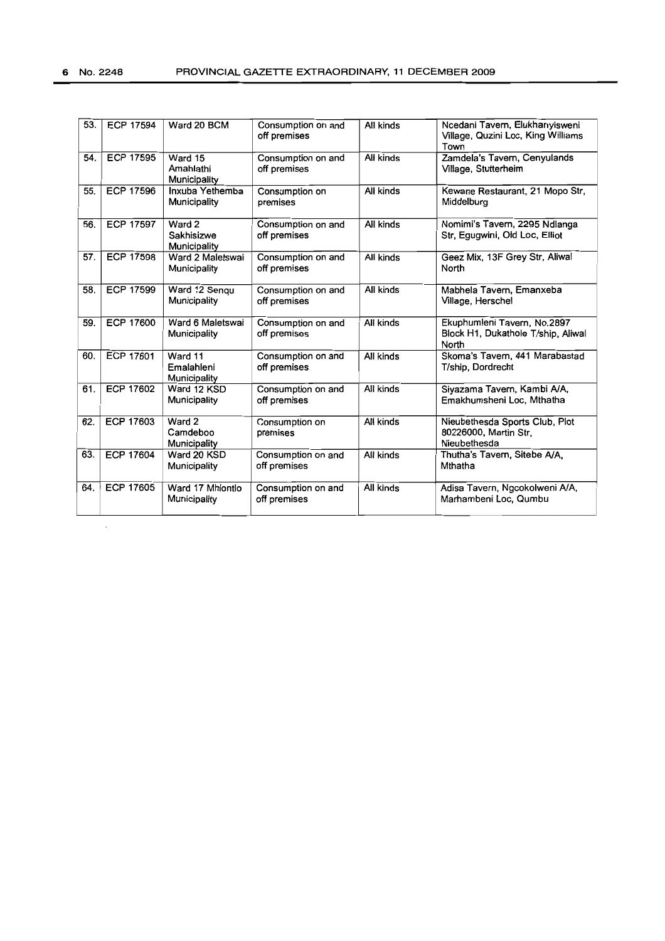| 53. | <b>ECP 17594</b> | Ward 20 BCM                           | Consumption on and<br>off premises | All kinds | Ncedani Tavern, Elukhanyisweni<br>Village, Quzini Loc, King Williams<br>Town |
|-----|------------------|---------------------------------------|------------------------------------|-----------|------------------------------------------------------------------------------|
| 54. | <b>ECP 17595</b> | Ward 15<br>Amahlathi<br>Municipality  | Consumption on and<br>off premises | All kinds | Zamdela's Tavern, Cenyulands<br>Village, Stutterheim                         |
| 55. | <b>ECP 17596</b> | Inxuba Yethemba<br>Municipality       | Consumption on<br>premises         | All kinds | Kewane Restaurant, 21 Mopo Str,<br>Middelburg                                |
| 56. | <b>ECP 17597</b> | Ward 2<br>Sakhisizwe<br>Municipality  | Consumption on and<br>off premises | All kinds | Nomimi's Tavern, 2295 Ndlanga<br>Str, Egugwini, Old Loc, Elliot              |
| 57. | <b>ECP 17598</b> | Ward 2 Maletswai<br>Municipality      | Consumption on and<br>off premises | All kinds | Geez Mix, 13F Grey Str, Aliwal<br>North                                      |
| 58. | <b>ECP 17599</b> | Ward 12 Senqu<br>Municipality         | Consumption on and<br>off premises | All kinds | Mabhela Tavern, Emanxeba<br>Village, Herschel                                |
| 59. | <b>ECP 17600</b> | Ward 6 Maletswai<br>Municipality      | Consumption on and<br>off premises | All kinds | Ekuphumleni Tavern, No.2897<br>Block H1, Dukathole T/ship, Aliwal<br>North   |
| 60. | <b>ECP 17601</b> | Ward 11<br>Emalahleni<br>Municipality | Consumption on and<br>off premises | All kinds | Skoma's Tavem, 441 Marabastad<br>T/ship, Dordrecht                           |
| 61. | <b>ECP 17602</b> | Ward 12 KSD<br>Municipality           | Consumption on and<br>off premises | All kinds | Siyazama Tavern, Kambi A/A,<br>Emakhumsheni Loc, Mthatha                     |
| 62. | <b>ECP 17603</b> | Ward 2<br>Camdeboo<br>Municipality    | Consumption on<br>premises         | All kinds | Nieubethesda Sports Club, Plot<br>80226000, Martin Str.<br>Nieubethesda      |
| 63. | <b>ECP 17604</b> | Ward 20 KSD<br>Municipality           | Consumption on and<br>off premises | All kinds | Thutha's Tavern, Sitebe A/A,<br>Mthatha                                      |
| 64. | <b>ECP 17605</b> | Ward 17 Mhlontlo<br>Municipality      | Consumption on and<br>off premises | All kinds | Adisa Tavern, Ngcokolweni A/A,<br>Marhambeni Loc, Qumbu                      |